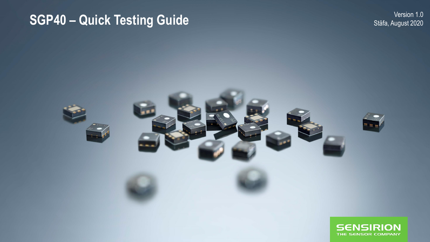## Version 1.0<br>SGP40 – Quick Testing Guide<br>2020 Stäfa, August 2020

Stäfa, August 2020

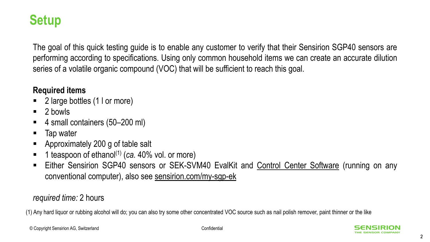#### **Setup**

The goal of this quick testing guide is to enable any customer to verify that their Sensirion SGP40 sensors are performing according to specifications. Using only common household items we can create an accurate dilution series of a volatile organic compound (VOC) that will be sufficient to reach this goal.

#### **Required items**

- 2 large bottles (1 l or more)
- $\blacksquare$  2 bowls
- 4 small containers (50–200 ml)
- Tap water
- Approximately 200 g of table salt
- 1 teaspoon of ethanol<sup>(1)</sup> (*ca.* 40% vol. or more)
- Either Sensirion SGP40 sensors or SEK-SVM40 EvalKit and Control Center [Software](https://www.sensirion.com/de/controlcenter/) (running on any conventional computer), also see <sensirion.com/my-sgp-ek>

#### *required time:* 2 hours

(1) Any hard liquor or rubbing alcohol will do; you can also try some other concentrated VOC source such as nail polish remover, paint thinner or the like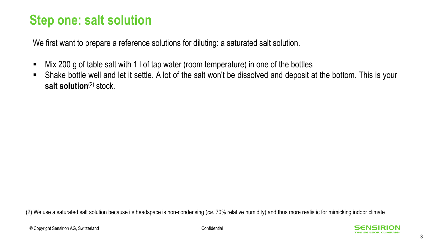#### **Step one: salt solution**

We first want to prepare a reference solutions for diluting: a saturated salt solution.

- Mix 200 g of table salt with 1 l of tap water (room temperature) in one of the bottles
- Shake bottle well and let it settle. A lot of the salt won't be dissolved and deposit at the bottom. This is your **salt solution**(2) stock.

(2) We use a saturated salt solution because its headspace is non-condensing (*ca.* 70% relative humidity) and thus more realistic for mimicking indoor climate

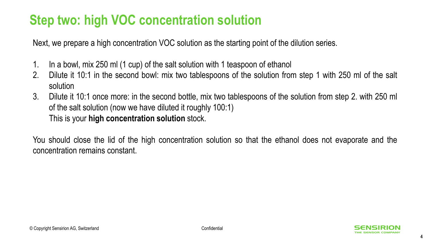## **Step two: high VOC concentration solution**

Next, we prepare a high concentration VOC solution as the starting point of the dilution series.

- 1. In a bowl, mix 250 ml (1 cup) of the salt solution with 1 teaspoon of ethanol
- 2. Dilute it 10:1 in the second bowl: mix two tablespoons of the solution from step 1 with 250 ml of the salt solution
- 3. Dilute it 10:1 once more: in the second bottle, mix two tablespoons of the solution from step 2. with 250 ml of the salt solution (now we have diluted it roughly 100:1) This is your **high concentration solution** stock.

You should close the lid of the high concentration solution so that the ethanol does not evaporate and the concentration remains constant.

4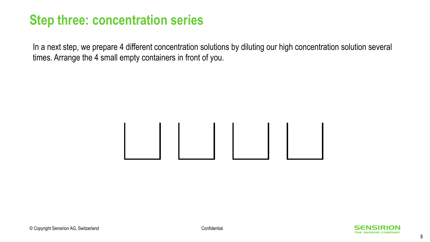In a next step, we prepare 4 different concentration solutions by diluting our high concentration solution several times. Arrange the 4 small empty containers in front of you.

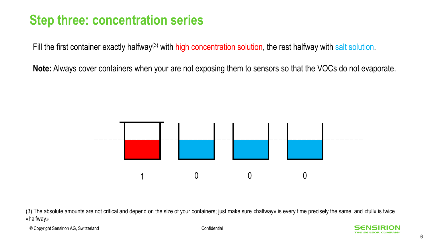Fill the first container exactly halfway<sup>(3)</sup> with high concentration solution, the rest halfway with salt solution.

**Note:** Always cover containers when your are not exposing them to sensors so that the VOCs do not evaporate.



(3) The absolute amounts are not critical and depend on the size of your containers; just make sure «halfway» is every time precisely the same, and «full» is twice «halfway»

© Copyright Sensirion AG, Switzerland Confidential

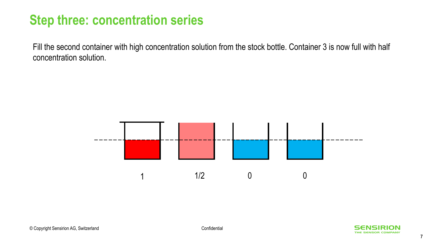Fill the second container with high concentration solution from the stock bottle. Container 3 is now full with half concentration solution.



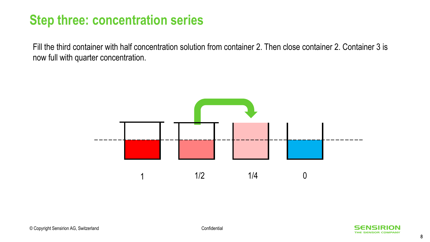Fill the third container with half concentration solution from container 2. Then close container 2. Container 3 is now full with quarter concentration.



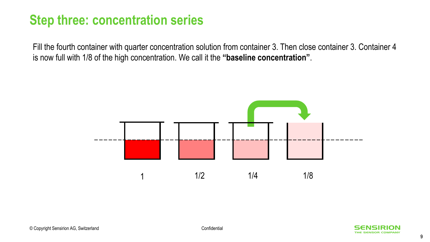Fill the fourth container with quarter concentration solution from container 3. Then close container 3. Container 4 is now full with 1/8 of the high concentration. We call it the **"baseline concentration"**.



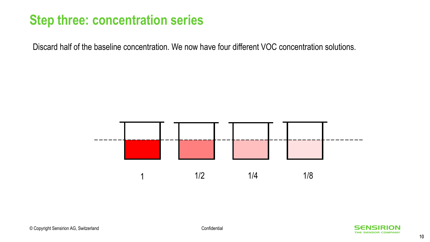Discard half of the baseline concentration. We now have four different VOC concentration solutions.



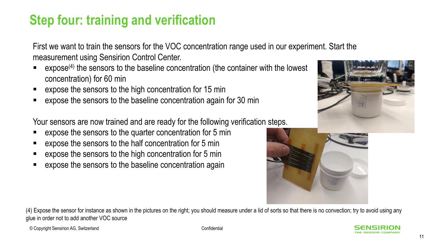## **Step four: training and verification**

First we want to train the sensors for the VOC concentration range used in our experiment. Start the measurement using Sensirion Control Center.

- expose<sup>(4)</sup> the sensors to the baseline concentration (the container with the lowest concentration) for 60 min
- expose the sensors to the high concentration for 15 min
- expose the sensors to the baseline concentration again for 30 min

Your sensors are now trained and are ready for the following verification steps.

- expose the sensors to the quarter concentration for 5 min
- expose the sensors to the half concentration for 5 min
- expose the sensors to the high concentration for 5 min
- expose the sensors to the baseline concentration again

(4) Expose the sensor for instance as shown in the pictures on the right; you should measure under a lid of sorts so that there is no convection; try to avoid using any glue in order not to add another VOC source



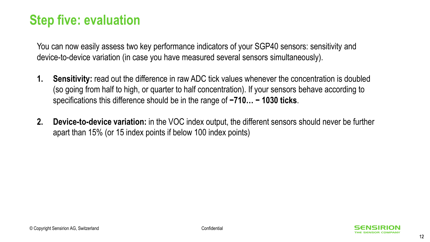### **Step five: evaluation**

You can now easily assess two key performance indicators of your SGP40 sensors: sensitivity and device-to-device variation (in case you have measured several sensors simultaneously).

- **1. Sensitivity:** read out the difference in raw ADC tick values whenever the concentration is doubled (so going from half to high, or quarter to half concentration). If your sensors behave according to specifications this difference should be in the range of **−710… − 1030 ticks**.
- **2. Device-to-device variation:** in the VOC index output, the different sensors should never be further apart than 15% (or 15 index points if below 100 index points)

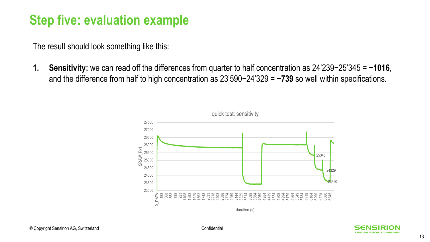#### **Step five: evaluation example**

The result should look something like this:

**1. Sensitivity:** we can read off the differences from quarter to half concentration as 24'239−25'345 = **−1016**, and the difference from half to high concentration as 23'590−24'329 = **−739** so well within specifications.



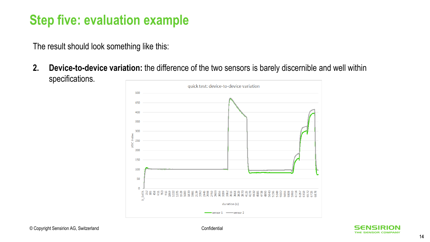### **Step five: evaluation example**

The result should look something like this:

**2. Device-to-device variation:** the difference of the two sensors is barely discernible and well within specifications.